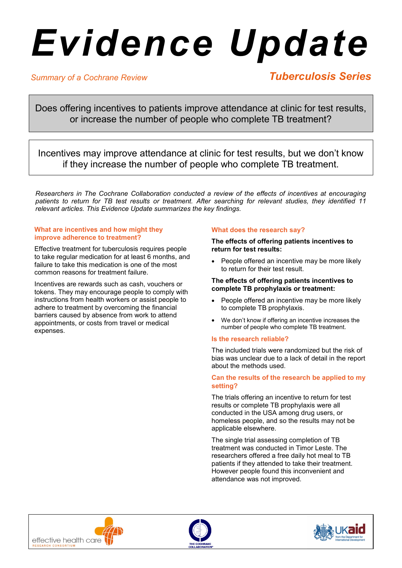# *Evidence Update*

# *Summary of a Cochrane Review*

# *Tuberculosis Series*

Does offering incentives to patients improve attendance at clinic for test results, or increase the number of people who complete TB treatment?

Incentives may improve attendance at clinic for test results, but we don't know if they increase the number of people who complete TB treatment.

*Researchers in The Cochrane Collaboration conducted a review of the effects of incentives at encouraging patients to return for TB test results or treatment. After searching for relevant studies, they identified 11 relevant articles. This Evidence Update summarizes the key findings.*

### **What are incentives and how might they improve adherence to treatment?**

Effective treatment for tuberculosis requires people to take regular medication for at least 6 months, and failure to take this medication is one of the most common reasons for treatment failure.

Incentives are rewards such as cash, vouchers or tokens. They may encourage people to comply with instructions from health workers or assist people to adhere to treatment by overcoming the financial barriers caused by absence from work to attend appointments, or costs from travel or medical expenses.

# **What does the research say?**

**The effects of offering patients incentives to return for test results:** 

• People offered an incentive may be more likely to return for their test result.

## **The effects of offering patients incentives to complete TB prophylaxis or treatment:**

- People offered an incentive may be more likely to complete TB prophylaxis.
- We don't know if offering an incentive increases the number of people who complete TB treatment.

# **Is the research reliable?**

The included trials were randomized but the risk of bias was unclear due to a lack of detail in the report about the methods used.

#### **Can the results of the research be applied to my setting?**

The trials offering an incentive to return for test results or complete TB prophylaxis were all conducted in the USA among drug users, or homeless people, and so the results may not be applicable elsewhere.

The single trial assessing completion of TB treatment was conducted in Timor Leste. The researchers offered a free daily hot meal to TB patients if they attended to take their treatment. However people found this inconvenient and attendance was not improved.